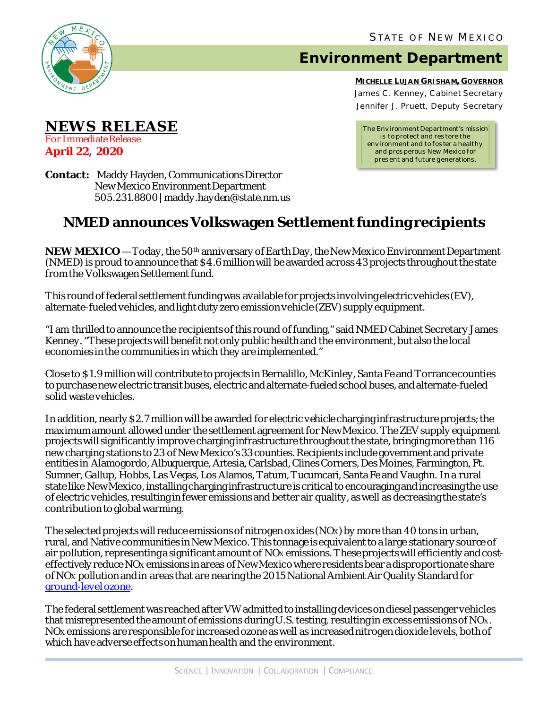

**NEWS RELEASE**

*For Immediate Release* **April 22, 2020**

# **Environment Department**

**MICHELLE LUJAN GRISHAM, GOVERNOR** James C . Kenney, Cabinet Secretary Jennifer J. Pruett, Deputy Secretary

*The Environment Department's mission is to protect and res tore the environment and to fos ter a healthy and pros perous New Mexico for pres ent and future generations.*

**Contact:** Maddy Hayden, Communications Director New Mexico Environment Department 505.231.8800 | maddy.hayden@state.nm.us

## **NMED announces Volkswagen Settlement funding recipients**

NEW MEXICO - Today, the 50<sup>th</sup> anniversary of Earth Day, the New Mexico Environment Department (NMED) is proud to announce that \$4.6 million will be awarded across 43 projects throughout the state from the Volkswagen Settlement fund.

This round of federal settlement funding was available for projects involving electric vehicles (EV), alternate-fueled vehicles, and light duty zero emission vehicle (ZEV) supply equipment.

"I am thrilled to announce the recipients of this round of funding," said NMED Cabinet Secretary James Kenney. "These projects will benefit not only public health and the environment, but also the local economies in the communities in which they are implemented."

Close to \$1.9 million will contribute to projects in Bernalillo, McKinley, Santa Fe and Torrance counties to purchase new electric transit buses, electric and alternate-fueled school buses, and alternate-fueled solid waste vehicles.

In addition, nearly \$2.7 million will be awarded for electric vehicle charging infrastructure projects; the maximum amount allowed under the settlement agreement for New Mexico. The ZEV supply equipment projects will significantly improve charging infrastructure throughout the state, bringing more than 116 new charging stations to 23 of New Mexico's 33 counties. Recipients include government and private entities in Alamogordo, Albuquerque,Artesia, Carlsbad, Clines Corners, Des Moines, Farmington, Ft. Sumner, Gallup, Hobbs, Las Vegas, Los Alamos, Tatum, Tucumcari, Santa Fe and Vaughn. In a rural state like New Mexico, installing charging infrastructure is critical to encouraging and increasing the use of electric vehicles, resulting in fewer emissions and better air quality, as well as decreasing the state's contribution to global warming.

The selected projects will reduce emissions of nitrogen oxides (NOx) by more than 40 tons in urban, rural, and Native communities in New Mexico. This tonnage is equivalent to a large stationary source of air pollution, representing a significant amount of NO<sub>x</sub> emissions. These projects will efficiently and costeffectively reduce NOX emissions in areas of New Mexico where residents bear a disproportionate share of NOX pollution and in areas that are nearing the 2015 National Ambient Air Quality Standard for [ground-level ozone.](https://www.env.nm.gov/air-quality/ozone/)

The federal settlement was reached after VW admitted to installing devices on diesel passenger vehicles that misrepresented the amount of emissions during U.S. testing, resulting in excess emissions of NOX. NOX emissions are responsible for increased ozone as well as increased nitrogen dioxide levels, both of which have adverse effects on human health and the environment.